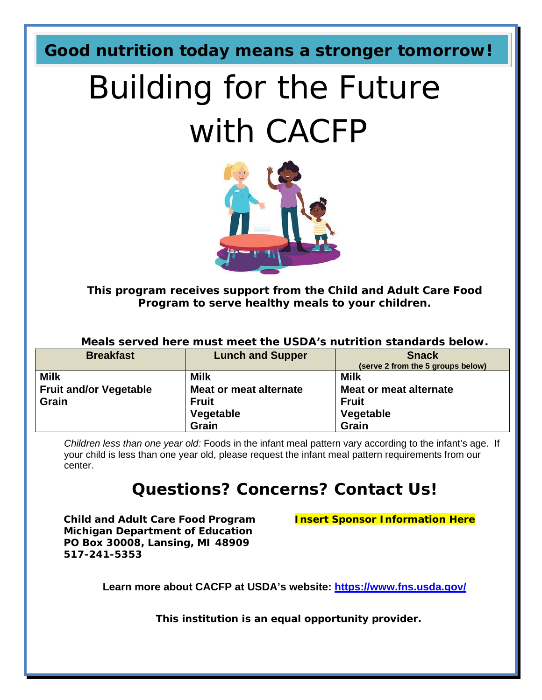**Good nutrition today means a stronger tomorrow!**

# Building for the Future with CACFP



**This program receives support from the Child and Adult Care Food Program to serve healthy meals to your children.**

| Meals served here must meet the USDA's nutrition standards below. |                         |                                   |  |
|-------------------------------------------------------------------|-------------------------|-----------------------------------|--|
| <b>Breakfast</b>                                                  | <b>Lunch and Supper</b> | <b>Snack</b>                      |  |
|                                                                   |                         | (serve 2 from the 5 groups below) |  |
| <b>Milk</b>                                                       | <b>Milk</b>             | <b>Milk</b>                       |  |
| <b>Fruit and/or Vegetable</b>                                     | Meat or meat alternate  | Meat or meat alternate            |  |
| <b>Grain</b>                                                      | <b>Fruit</b>            | <b>Fruit</b>                      |  |
|                                                                   | Vegetable               | Vegetable                         |  |
|                                                                   | Grain                   | Grain                             |  |

*Children less than one year old:* Foods in the infant meal pattern vary according to the infant's age. If your child is less than one year old, please request the infant meal pattern requirements from our center.

#### **Questions? Concerns? Contact Us!**

**Child and Adult Care Food Program Insert Sponsor Information Here Michigan Department of Education PO Box 30008, Lansing, MI 48909 517-241-5353**

**Learn more about CACFP at USDA's website: [https://www.fns.usda.gov/](http://www.fns.usda.gov/)**

**This institution is an equal opportunity provider.**